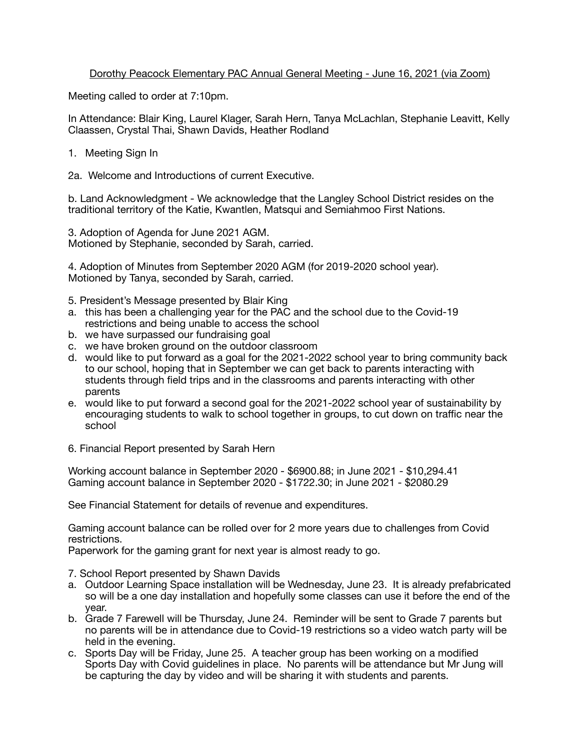## Dorothy Peacock Elementary PAC Annual General Meeting - June 16, 2021 (via Zoom)

Meeting called to order at 7:10pm.

In Attendance: Blair King, Laurel Klager, Sarah Hern, Tanya McLachlan, Stephanie Leavitt, Kelly Claassen, Crystal Thai, Shawn Davids, Heather Rodland

- 1. Meeting Sign In
- 2a. Welcome and Introductions of current Executive.

b. Land Acknowledgment - We acknowledge that the Langley School District resides on the traditional territory of the Katie, Kwantlen, Matsqui and Semiahmoo First Nations.

3. Adoption of Agenda for June 2021 AGM. Motioned by Stephanie, seconded by Sarah, carried.

4. Adoption of Minutes from September 2020 AGM (for 2019-2020 school year). Motioned by Tanya, seconded by Sarah, carried.

- 5. President's Message presented by Blair King
- a. this has been a challenging year for the PAC and the school due to the Covid-19 restrictions and being unable to access the school
- b. we have surpassed our fundraising goal
- c. we have broken ground on the outdoor classroom
- d. would like to put forward as a goal for the 2021-2022 school year to bring community back to our school, hoping that in September we can get back to parents interacting with students through field trips and in the classrooms and parents interacting with other parents
- e. would like to put forward a second goal for the 2021-2022 school year of sustainability by encouraging students to walk to school together in groups, to cut down on traffic near the school
- 6. Financial Report presented by Sarah Hern

Working account balance in September 2020 - \$6900.88; in June 2021 - \$10,294.41 Gaming account balance in September 2020 - \$1722.30; in June 2021 - \$2080.29

See Financial Statement for details of revenue and expenditures.

Gaming account balance can be rolled over for 2 more years due to challenges from Covid restrictions.

Paperwork for the gaming grant for next year is almost ready to go.

- 7. School Report presented by Shawn Davids
- a. Outdoor Learning Space installation will be Wednesday, June 23. It is already prefabricated so will be a one day installation and hopefully some classes can use it before the end of the year.
- b. Grade 7 Farewell will be Thursday, June 24. Reminder will be sent to Grade 7 parents but no parents will be in attendance due to Covid-19 restrictions so a video watch party will be held in the evening.
- c. Sports Day will be Friday, June 25. A teacher group has been working on a modified Sports Day with Covid guidelines in place. No parents will be attendance but Mr Jung will be capturing the day by video and will be sharing it with students and parents.